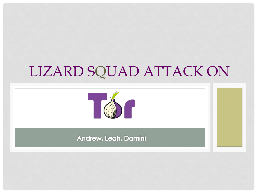## LIZARD SQUAD ATTACK ON



Andrew, Leah, Damini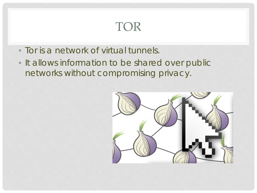#### TOR

- Tor is a network of virtual tunnels.
- It allows information to be shared over public networks without compromising privacy.

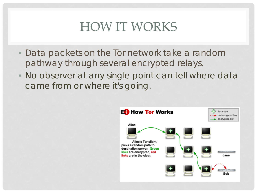## HOW IT WORKS

- Data packets on the Tor network take a random pathway through several encrypted relays.
- No observer at any single point can tell where data came from or where it's going.

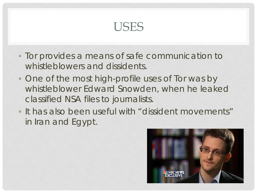#### USES

- Tor provides a means of safe communication to whistleblowers and dissidents.
- One of the most high-profile uses of Tor was by whistleblower Edward Snowden, when he leaked classified NSA files to journalists.
- It has also been useful with "dissident movements" in Iran and Egypt.

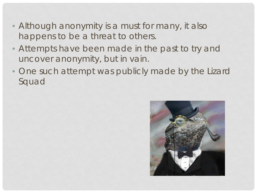- Although anonymity is a must for many, it also happens to be a threat to others.
- Attempts have been made in the past to try and uncover anonymity, but in vain.
- One such attempt was publicly made by the Lizard Squad

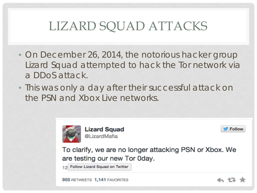## LIZARD SQUAD ATTACKS

- On December 26, 2014, the notorious hacker group Lizard Squad attempted to hack the Tor network via a DDoS attack.
- This was only a day after their successful attack on the PSN and Xbox Live networks.



**Lizard Squad** @LizardMafia



To clarify, we are no longer attacking PSN or Xbox. We are testing our new Tor Oday.

12 Follow Lizard Squad on Twitter

955 RETWEETS 1,141 FAVORITES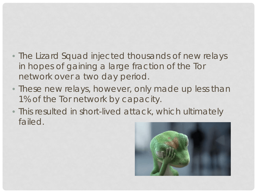- The Lizard Squad injected thousands of new relays in hopes of gaining a large fraction of the Tor network over a two day period.
- These new relays, however, only made up less than 1% of the Tor network by capacity.
- This resulted in short-lived attack, which ultimately failed.

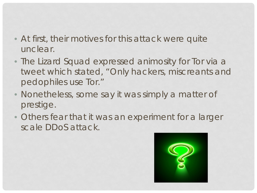- At first, their motives for this attack were quite unclear.
- The Lizard Squad expressed animosity for Tor via a tweet which stated, "Only hackers, miscreants and pedophiles use Tor."
- Nonetheless, some say it was simply a matter of prestige.
- Others fear that it was an experiment for a larger scale DDoS attack.

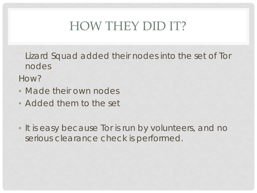## HOW THEY DID IT?

Lizard Squad added their nodes into the set of Tor nodes

How?

- Made their own nodes
- Added them to the set
- It is easy because Tor is run by volunteers, and no serious clearance check is performed.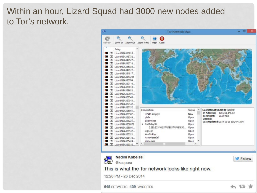#### Within an hour, Lizard Squad had 3000 new nodes added to Tor's network.

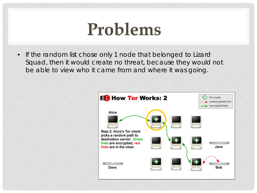## Problems

• If the random list chose only 1 node that belonged to Lizard Squad, then it would create no threat, because they would not be able to view who it came from and where it was going.

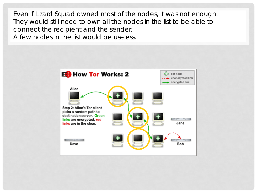Even if Lizard Squad owned most of the nodes, it was not enough. They would still need to own all the nodes in the list to be able to connect the recipient and the sender. A few nodes in the list would be useless.

> **ED** How Tor Works: 2 Tor node unencrypted link encrypted link Alice Step 2: Alice's Tor client picks a random path to destination server. Green links are encrypted, red links are in the clear. Jane Secretary of the lot Dave Bob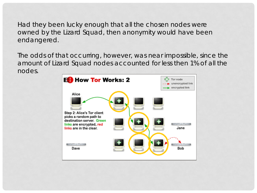Had they been lucky enough that all the chosen nodes were owned by the Lizard Squad, then anonymity would have been endangered.

The odds of that occurring, however, was near impossible, since the amount of Lizard Squad nodes accounted for less then 1% of all the nodes.

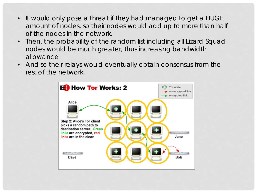- It would only pose a threat if they had managed to get a HUGE amount of nodes, so their nodes would add up to more than half of the nodes in the network.
- Then, the probability of the random list including all Lizard Squad nodes would be much greater, thus increasing bandwidth allowance
- And so their relays would eventually obtain consensus from the rest of the network.

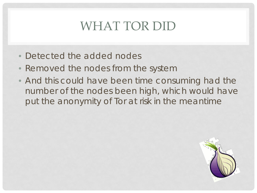## WHAT TOR DID

- Detected the added nodes
- Removed the nodes from the system
- And this could have been time consuming had the number of the nodes been high, which would have put the anonymity of Tor at risk in the meantime

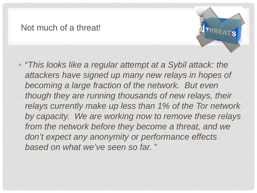#### Not much of a threat!



• "*This looks like a regular attempt at a Sybil attack: the attackers have signed up many new relays in hopes of becoming a large fraction of the network. But even though they are running thousands of new relays, their relays currently make up less than 1% of the Tor network by capacity. We are working now to remove these relays from the network before they become a threat, and we don't expect any anonymity or performance effects based on what we've seen so far.* "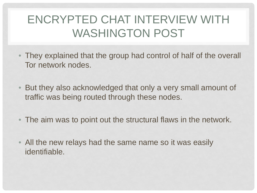#### ENCRYPTED CHAT INTERVIEW WITH WASHINGTON POST

- They explained that the group had control of half of the overall Tor network nodes.
- But they also acknowledged that only a very small amount of traffic was being routed through these nodes.
- The aim was to point out the structural flaws in the network.
- All the new relays had the same name so it was easily identifiable.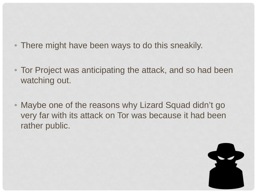- There might have been ways to do this sneakily.
- Tor Project was anticipating the attack, and so had been watching out.
- Maybe one of the reasons why Lizard Squad didn't go very far with its attack on Tor was because it had been rather public.

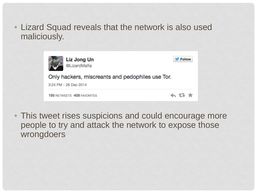• Lizard Squad reveals that the network is also used maliciously.

| Liz Jong Un<br><b>@LizardMafia</b>               | <b>Follow</b> |
|--------------------------------------------------|---------------|
| Only hackers, miscreants and pedophiles use Tor. |               |
| 3:24 PM - 26 Dec 2014                            |               |
| <b>195 RETWEETS 408 FAVORITES</b>                | もほま           |

• This tweet rises suspicions and could encourage more people to try and attack the network to expose those wrongdoers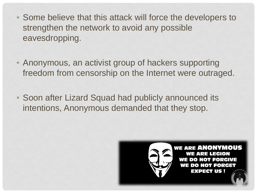- Some believe that this attack will force the developers to strengthen the network to avoid any possible eavesdropping.
- Anonymous, an activist group of hackers supporting freedom from censorship on the Internet were outraged.
- Soon after Lizard Squad had publicly announced its intentions, Anonymous demanded that they stop.

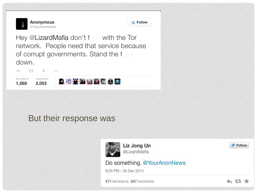

**Example 1** 

Hey @LizardMafia don't fuck with the Tor network. People need that service because of corrupt governments. Stand the fuck down.



#### But their response was

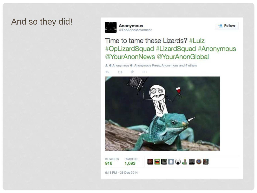#### And so they did!





Time to tame these Lizards? #Lulz #OpLizardSquad #LizardSquad #Anonymous @YourAnonNews @YourAnonGlobal

et & Anonymous , Anonymous Press, Anonymous and 4 others



6:13 PM - 26 Dec 2014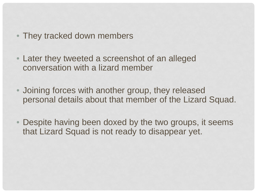- They tracked down members
- Later they tweeted a screenshot of an alleged conversation with a lizard member
- Joining forces with another group, they released personal details about that member of the Lizard Squad.
- Despite having been doxed by the two groups, it seems that Lizard Squad is not ready to disappear yet.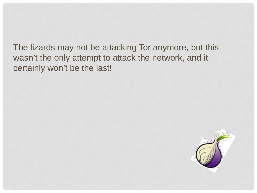The lizards may not be attacking Tor anymore, but this wasn't the only attempt to attack the network, and it certainly won't be the last!

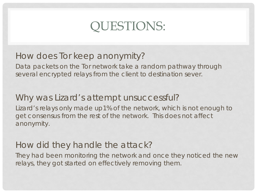## QUESTIONS:

#### How does Tor keep anonymity?

Data packets on the Tor network take a random pathway through several encrypted relays from the client to destination sever.

#### Why was Lizard's attempt unsuccessful?

Lizard's relays only made up1% of the network, which is not enough to get consensus from the rest of the network. This does not affect anonymity.

#### How did they handle the attack?

They had been monitoring the network and once they noticed the new relays, they got started on effectively removing them.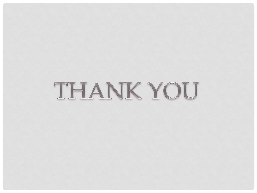# THANK YOU